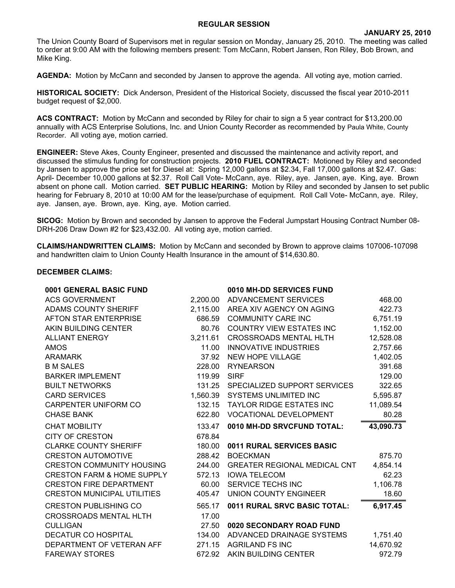## **REGULAR SESSION**

The Union County Board of Supervisors met in regular session on Monday, January 25, 2010. The meeting was called to order at 9:00 AM with the following members present: Tom McCann, Robert Jansen, Ron Riley, Bob Brown, and Mike King.

**AGENDA:** Motion by McCann and seconded by Jansen to approve the agenda. All voting aye, motion carried.

**HISTORICAL SOCIETY:** Dick Anderson, President of the Historical Society, discussed the fiscal year 2010-2011 budget request of \$2,000.

**ACS CONTRACT:** Motion by McCann and seconded by Riley for chair to sign a 5 year contract for \$13,200.00 annually with ACS Enterprise Solutions, Inc. and Union County Recorder as recommended by Paula White, County Recorder. All voting aye, motion carried.

**ENGINEER:** Steve Akes, County Engineer, presented and discussed the maintenance and activity report, and discussed the stimulus funding for construction projects. **2010 FUEL CONTRACT:** Motioned by Riley and seconded by Jansen to approve the price set for Diesel at: Spring 12,000 gallons at \$2.34, Fall 17,000 gallons at \$2.47. Gas: April- December 10,000 gallons at \$2.37. Roll Call Vote- McCann, aye. Riley, aye. Jansen, aye. King, aye. Brown absent on phone call. Motion carried. **SET PUBLIC HEARING:** Motion by Riley and seconded by Jansen to set public hearing for February 8, 2010 at 10:00 AM for the lease/purchase of equipment. Roll Call Vote- McCann, aye. Riley, aye. Jansen, aye. Brown, aye. King, aye. Motion carried.

**SICOG:** Motion by Brown and seconded by Jansen to approve the Federal Jumpstart Housing Contract Number 08- DRH-206 Draw Down #2 for \$23,432.00. All voting aye, motion carried.

**CLAIMS/HANDWRITTEN CLAIMS:** Motion by McCann and seconded by Brown to approve claims 107006-107098 and handwritten claim to Union County Health Insurance in the amount of \$14,630.80.

## **DECEMBER CLAIMS:**

| 0001 GENERAL BASIC FUND               |          | 0010 MH-DD SERVICES FUND            |           |
|---------------------------------------|----------|-------------------------------------|-----------|
| <b>ACS GOVERNMENT</b>                 | 2,200.00 | ADVANCEMENT SERVICES                | 468.00    |
| <b>ADAMS COUNTY SHERIFF</b>           | 2,115.00 | AREA XIV AGENCY ON AGING            | 422.73    |
| AFTON STAR ENTERPRISE                 | 686.59   | <b>COMMUNITY CARE INC</b>           | 6,751.19  |
| AKIN BUILDING CENTER                  | 80.76    | <b>COUNTRY VIEW ESTATES INC</b>     | 1,152.00  |
| <b>ALLIANT ENERGY</b>                 | 3,211.61 | <b>CROSSROADS MENTAL HLTH</b>       | 12,528.08 |
| <b>AMOS</b>                           | 11.00    | <b>INNOVATIVE INDUSTRIES</b>        | 2,757.66  |
| <b>ARAMARK</b>                        | 37.92    | <b>NEW HOPE VILLAGE</b>             | 1,402.05  |
| <b>B M SALES</b>                      | 228.00   | <b>RYNEARSON</b>                    | 391.68    |
| <b>BARKER IMPLEMENT</b>               | 119.99   | <b>SIRF</b>                         | 129.00    |
| <b>BUILT NETWORKS</b>                 | 131.25   | SPECIALIZED SUPPORT SERVICES        | 322.65    |
| <b>CARD SERVICES</b>                  | 1,560.39 | <b>SYSTEMS UNLIMITED INC</b>        | 5,595.87  |
| <b>CARPENTER UNIFORM CO</b>           | 132.15   | <b>TAYLOR RIDGE ESTATES INC</b>     | 11,089.54 |
| <b>CHASE BANK</b>                     | 622.80   | <b>VOCATIONAL DEVELOPMENT</b>       | 80.28     |
|                                       |          |                                     |           |
| <b>CHAT MOBILITY</b>                  | 133.47   | 0010 MH-DD SRVCFUND TOTAL:          | 43,090.73 |
| <b>CITY OF CRESTON</b>                | 678.84   |                                     |           |
| <b>CLARKE COUNTY SHERIFF</b>          | 180.00   | 0011 RURAL SERVICES BASIC           |           |
| <b>CRESTON AUTOMOTIVE</b>             | 288.42   | <b>BOECKMAN</b>                     | 875.70    |
| <b>CRESTON COMMUNITY HOUSING</b>      | 244.00   | <b>GREATER REGIONAL MEDICAL CNT</b> | 4,854.14  |
| <b>CRESTON FARM &amp; HOME SUPPLY</b> | 572.13   | <b>IOWA TELECOM</b>                 | 62.23     |
| <b>CRESTON FIRE DEPARTMENT</b>        | 60.00    | SERVICE TECHS INC                   | 1,106.78  |
| <b>CRESTON MUNICIPAL UTILITIES</b>    | 405.47   | UNION COUNTY ENGINEER               | 18.60     |
| <b>CRESTON PUBLISHING CO</b>          | 565.17   | 0011 RURAL SRVC BASIC TOTAL:        | 6,917.45  |
| <b>CROSSROADS MENTAL HLTH</b>         | 17.00    |                                     |           |
| <b>CULLIGAN</b>                       | 27.50    | 0020 SECONDARY ROAD FUND            |           |
| <b>DECATUR CO HOSPITAL</b>            | 134.00   | ADVANCED DRAINAGE SYSTEMS           | 1,751.40  |
| DEPARTMENT OF VETERAN AFF             | 271.15   | <b>AGRILAND FS INC</b>              | 14,670.92 |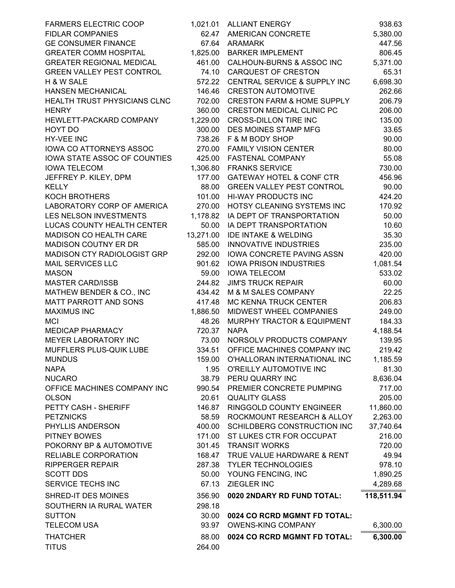| <b>FARMERS ELECTRIC COOP</b>     |           | 1,021.01 ALLIANT ENERGY               | 938.63     |
|----------------------------------|-----------|---------------------------------------|------------|
| <b>FIDLAR COMPANIES</b>          | 62.47     | <b>AMERICAN CONCRETE</b>              | 5,380.00   |
| <b>GE CONSUMER FINANCE</b>       | 67.64     | <b>ARAMARK</b>                        | 447.56     |
| <b>GREATER COMM HOSPITAL</b>     | 1,825.00  | <b>BARKER IMPLEMENT</b>               | 806.45     |
| <b>GREATER REGIONAL MEDICAL</b>  | 461.00    | CALHOUN-BURNS & ASSOC INC             | 5,371.00   |
| <b>GREEN VALLEY PEST CONTROL</b> | 74.10     | <b>CARQUEST OF CRESTON</b>            | 65.31      |
| H & W SALE                       | 572.22    | CENTRAL SERVICE & SUPPLY INC          | 6,698.30   |
| HANSEN MECHANICAL                | 146.46    | <b>CRESTON AUTOMOTIVE</b>             | 262.66     |
| HEALTH TRUST PHYSICIANS CLNC     | 702.00    | <b>CRESTON FARM &amp; HOME SUPPLY</b> | 206.79     |
| <b>HENRY</b>                     | 360.00    | <b>CRESTON MEDICAL CLINIC PC</b>      | 206.00     |
| HEWLETT-PACKARD COMPANY          | 1,229.00  | <b>CROSS-DILLON TIRE INC</b>          | 135.00     |
| HOYT DO                          | 300.00    | DES MOINES STAMP MFG                  | 33.65      |
| HY-VEE INC                       | 738.26    | F & M BODY SHOP                       | 90.00      |
| IOWA CO ATTORNEYS ASSOC          | 270.00    | <b>FAMILY VISION CENTER</b>           | 80.00      |
| IOWA STATE ASSOC OF COUNTIES     | 425.00    | FASTENAL COMPANY                      | 55.08      |
| <b>IOWA TELECOM</b>              | 1,306.80  | <b>FRANKS SERVICE</b>                 | 730.00     |
| JEFFREY P. KILEY, DPM            | 177.00    | <b>GATEWAY HOTEL &amp; CONF CTR</b>   | 456.96     |
| <b>KELLY</b>                     | 88.00     | <b>GREEN VALLEY PEST CONTROL</b>      | 90.00      |
| <b>KOCH BROTHERS</b>             | 101.00    | HI-WAY PRODUCTS INC                   | 424.20     |
| LABORATORY CORP OF AMERICA       | 270.00    | HOTSY CLEANING SYSTEMS INC            | 170.92     |
| LES NELSON INVESTMENTS           | 1,178.82  | IA DEPT OF TRANSPORTATION             | 50.00      |
| LUCAS COUNTY HEALTH CENTER       | 50.00     | IA DEPT TRANSPORTATION                | 10.60      |
| MADISON CO HEALTH CARE           | 13,271.00 | <b>IDE INTAKE &amp; WELDING</b>       | 35.30      |
| <b>MADISON COUTNY ER DR</b>      | 585.00    | <b>INNOVATIVE INDUSTRIES</b>          | 235.00     |
| MADISON CTY RADIOLOGIST GRP      | 292.00    | IOWA CONCRETE PAVING ASSN             | 420.00     |
| <b>MAIL SERVICES LLC</b>         | 901.62    | <b>IOWA PRISON INDUSTRIES</b>         | 1,081.54   |
| <b>MASON</b>                     | 59.00     | <b>IOWA TELECOM</b>                   | 533.02     |
| <b>MASTER CARD/ISSB</b>          | 244.82    | <b>JIM'S TRUCK REPAIR</b>             | 60.00      |
| MATHEW BENDER & CO., INC         | 434.42    | M & M SALES COMPANY                   | 22.25      |
| MATT PARROTT AND SONS            | 417.48    | MC KENNA TRUCK CENTER                 | 206.83     |
| <b>MAXIMUS INC</b>               | 1,886.50  | MIDWEST WHEEL COMPANIES               | 249.00     |
| <b>MCI</b>                       | 48.26     | MURPHY TRACTOR & EQUIPMENT            | 184.33     |
| MEDICAP PHARMACY                 | 720.37    | <b>NAPA</b>                           | 4,188.54   |
| MEYER LABORATORY INC             | 73.00     | NORSOLV PRODUCTS COMPANY              | 139.95     |
| MUFFLERS PLUS-QUIK LUBE          | 334.51    | OFFICE MACHINES COMPANY INC           | 219.42     |
| <b>MUNDUS</b>                    | 159.00    | O'HALLORAN INTERNATIONAL INC          | 1,185.59   |
| <b>NAPA</b>                      | 1.95      | O'REILLY AUTOMOTIVE INC               | 81.30      |
| <b>NUCARO</b>                    | 38.79     | PERU QUARRY INC                       | 8,636.04   |
| OFFICE MACHINES COMPANY INC      | 990.54    | PREMIER CONCRETE PUMPING              | 717.00     |
| <b>OLSON</b>                     | 20.61     | <b>QUALITY GLASS</b>                  | 205.00     |
| PETTY CASH - SHERIFF             | 146.87    | RINGGOLD COUNTY ENGINEER              | 11,860.00  |
| <b>PETZNICKS</b>                 | 58.59     | ROCKMOUNT RESEARCH & ALLOY            | 2,263.00   |
| PHYLLIS ANDERSON                 | 400.00    | SCHILDBERG CONSTRUCTION INC           | 37,740.64  |
| PITNEY BOWES                     | 171.00    | ST LUKES CTR FOR OCCUPAT              | 216.00     |
| POKORNY BP & AUTOMOTIVE          | 301.45    | <b>TRANSIT WORKS</b>                  | 720.00     |
| RELIABLE CORPORATION             | 168.47    | TRUE VALUE HARDWARE & RENT            | 49.94      |
| <b>RIPPERGER REPAIR</b>          | 287.38    | <b>TYLER TECHNOLOGIES</b>             | 978.10     |
| <b>SCOTT DDS</b>                 | 50.00     | YOUNG FENCING, INC                    | 1,890.25   |
| SERVICE TECHS INC                | 67.13     | ZIEGLER INC                           | 4,289.68   |
|                                  |           |                                       |            |
| SHRED-IT DES MOINES              | 356.90    | 0020 2NDARY RD FUND TOTAL:            | 118,511.94 |
| SOUTHERN IA RURAL WATER          | 298.18    |                                       |            |
| <b>SUTTON</b>                    | 30.00     | 0024 CO RCRD MGMNT FD TOTAL:          |            |
| <b>TELECOM USA</b>               | 93.97     | <b>OWENS-KING COMPANY</b>             | 6,300.00   |
| <b>THATCHER</b>                  | 88.00     | 0024 CO RCRD MGMNT FD TOTAL:          | 6,300.00   |
| <b>TITUS</b>                     | 264.00    |                                       |            |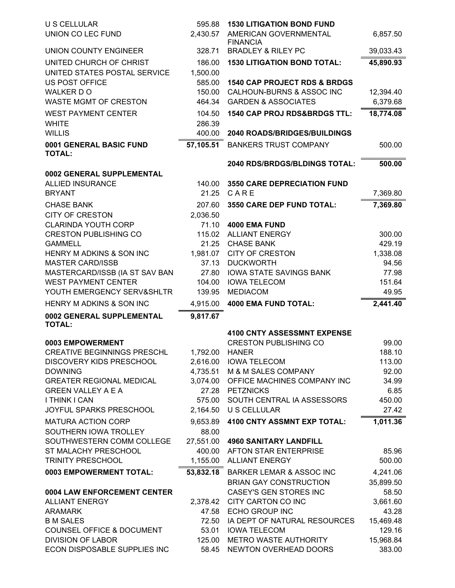| <b>U S CELLULAR</b>                                              | 595.88          | <b>1530 LITIGATION BOND FUND</b>                 |                     |
|------------------------------------------------------------------|-----------------|--------------------------------------------------|---------------------|
| UNION CO LEC FUND                                                | 2,430.57        | AMERICAN GOVERNMENTAL                            | 6,857.50            |
| UNION COUNTY ENGINEER                                            | 328.71          | <b>FINANCIA</b><br><b>BRADLEY &amp; RILEY PC</b> | 39,033.43           |
| UNITED CHURCH OF CHRIST                                          | 186.00          | <b>1530 LITIGATION BOND TOTAL:</b>               | 45,890.93           |
| UNITED STATES POSTAL SERVICE                                     | 1,500.00        |                                                  |                     |
| <b>US POST OFFICE</b>                                            | 585.00          | <b>1540 CAP PROJECT RDS &amp; BRDGS</b>          |                     |
| WALKER DO                                                        | 150.00          | CALHOUN-BURNS & ASSOC INC                        | 12,394.40           |
| <b>WASTE MGMT OF CRESTON</b>                                     | 464.34          | <b>GARDEN &amp; ASSOCIATES</b>                   | 6,379.68            |
| <b>WEST PAYMENT CENTER</b>                                       | 104.50          | <b>1540 CAP PROJ RDS&amp;BRDGS TTL:</b>          | 18,774.08           |
| <b>WHITE</b>                                                     | 286.39          |                                                  |                     |
| <b>WILLIS</b>                                                    | 400.00          | 2040 ROADS/BRIDGES/BUILDINGS                     |                     |
| 0001 GENERAL BASIC FUND                                          | 57,105.51       | <b>BANKERS TRUST COMPANY</b>                     | 500.00              |
| <b>TOTAL:</b>                                                    |                 |                                                  |                     |
| 0002 GENERAL SUPPLEMENTAL                                        |                 | 2040 RDS/BRDGS/BLDINGS TOTAL:                    | 500.00              |
| <b>ALLIED INSURANCE</b>                                          | 140.00          | <b>3550 CARE DEPRECIATION FUND</b>               |                     |
| <b>BRYANT</b>                                                    | 21.25           | CARE                                             | 7,369.80            |
| <b>CHASE BANK</b>                                                | 207.60          | 3550 CARE DEP FUND TOTAL:                        | 7,369.80            |
| <b>CITY OF CRESTON</b>                                           | 2,036.50        |                                                  |                     |
| CLARINDA YOUTH CORP                                              | 71.10           | 4000 EMA FUND                                    |                     |
| <b>CRESTON PUBLISHING CO</b>                                     | 115.02          | <b>ALLIANT ENERGY</b>                            | 300.00              |
| <b>GAMMELL</b>                                                   | 21.25           | <b>CHASE BANK</b>                                | 429.19              |
| HENRY M ADKINS & SON INC                                         | 1,981.07        | <b>CITY OF CRESTON</b>                           | 1,338.08            |
| <b>MASTER CARD/ISSB</b>                                          | 37.13           | <b>DUCKWORTH</b>                                 | 94.56               |
| MASTERCARD/ISSB (IA ST SAV BAN                                   | 27.80           | <b>IOWA STATE SAVINGS BANK</b>                   | 77.98               |
| <b>WEST PAYMENT CENTER</b>                                       | 104.00          | <b>IOWA TELECOM</b>                              | 151.64              |
| YOUTH EMERGENCY SERV&SHLTR                                       | 139.95          | <b>MEDIACOM</b>                                  | 49.95               |
| HENRY M ADKINS & SON INC                                         | 4,915.00        | <b>4000 EMA FUND TOTAL:</b>                      | 2,441.40            |
| 0002 GENERAL SUPPLEMENTAL<br><b>TOTAL:</b>                       | 9,817.67        |                                                  |                     |
|                                                                  |                 | <b>4100 CNTY ASSESSMNT EXPENSE</b>               |                     |
| 0003 EMPOWERMENT                                                 |                 | <b>CRESTON PUBLISHING CO</b>                     | 99.00               |
| CREATIVE BEGINNINGS PRESCHL                                      | 1,792.00 HANER  |                                                  | 188.10              |
| DISCOVERY KIDS PRESCHOOL                                         |                 | 2,616.00 IOWA TELECOM                            | 113.00              |
| <b>DOWNING</b>                                                   | 4,735.51        | M & M SALES COMPANY                              | 92.00               |
| <b>GREATER REGIONAL MEDICAL</b>                                  | 3,074.00        | OFFICE MACHINES COMPANY INC                      | 34.99               |
| <b>GREEN VALLEY A E A</b>                                        | 27.28           | <b>PETZNICKS</b>                                 | 6.85                |
| I THINK I CAN                                                    | 575.00          | SOUTH CENTRAL IA ASSESSORS                       | 450.00              |
| JOYFUL SPARKS PRESCHOOL                                          | 2,164.50        | <b>U S CELLULAR</b>                              | 27.42               |
| <b>MATURA ACTION CORP</b>                                        | 9,653.89        | <b>4100 CNTY ASSMNT EXP TOTAL:</b>               | 1,011.36            |
| SOUTHERN IOWA TROLLEY                                            | 88.00           |                                                  |                     |
| SOUTHWESTERN COMM COLLEGE                                        | 27,551.00       | <b>4960 SANITARY LANDFILL</b>                    |                     |
| ST MALACHY PRESCHOOL                                             | 400.00          | AFTON STAR ENTERPRISE                            | 85.96               |
| <b>TRINITY PRESCHOOL</b>                                         |                 | 1,155.00 ALLIANT ENERGY                          | 500.00              |
| 0003 EMPOWERMENT TOTAL:                                          | 53,832.18       | <b>BARKER LEMAR &amp; ASSOC INC</b>              | 4,241.06            |
|                                                                  |                 | <b>BRIAN GAY CONSTRUCTION</b>                    | 35,899.50           |
| 0004 LAW ENFORCEMENT CENTER                                      |                 | CASEY'S GEN STORES INC                           | 58.50               |
| <b>ALLIANT ENERGY</b>                                            | 2,378.42        | CITY CARTON CO INC                               | 3,661.60            |
| <b>ARAMARK</b>                                                   | 47.58           | <b>ECHO GROUP INC</b>                            | 43.28               |
| <b>B M SALES</b>                                                 | 72.50           | IA DEPT OF NATURAL RESOURCES                     | 15,469.48           |
| <b>COUNSEL OFFICE &amp; DOCUMENT</b><br><b>DIVISION OF LABOR</b> | 53.01<br>125.00 | <b>IOWA TELECOM</b><br>METRO WASTE AUTHORITY     | 129.16<br>15,968.84 |
| ECON DISPOSABLE SUPPLIES INC                                     | 58.45           | NEWTON OVERHEAD DOORS                            | 383.00              |
|                                                                  |                 |                                                  |                     |